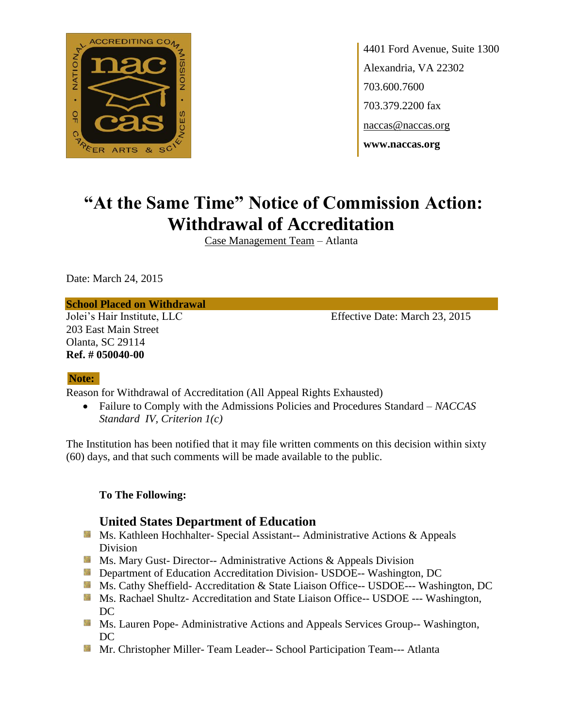

4401 Ford Avenue, Suite 1300 Alexandria, VA 22302 703.600.7600 703.379.2200 fax naccas@naccas.org **www.naccas.org**

# **"At the Same Time" Notice of Commission Action: Withdrawal of Accreditation**

Case Management Team – Atlanta

Date: March 24, 2015

#### **School Placed on Withdrawal**

203 East Main Street Olanta, SC 29114 **Ref. # 050040-00**

Jolei's Hair Institute, LLC Effective Date: March 23, 2015

#### **Note:**

Reason for Withdrawal of Accreditation (All Appeal Rights Exhausted)

 Failure to Comply with the Admissions Policies and Procedures Standard – *NACCAS Standard IV, Criterion 1(c)*

The Institution has been notified that it may file written comments on this decision within sixty (60) days, and that such comments will be made available to the public.

## **To The Following:**

# **United States Department of Education**

- Ms. Kathleen Hochhalter- Special Assistant-- Administrative Actions & Appeals Division
- **Ms. Mary Gust- Director-- Administrative Actions & Appeals Division**
- **Department of Education Accreditation Division- USDOE-- Washington, DC**
- Ms. Cathy Sheffield- Accreditation & State Liaison Office-- USDOE--- Washington, DC
- **MS. Rachael Shultz- Accreditation and State Liaison Office-- USDOE --- Washington,** DC
- **MS. Lauren Pope- Administrative Actions and Appeals Services Group-- Washington,** DC
- **Mr.** Christopher Miller-Team Leader-- School Participation Team--- Atlanta